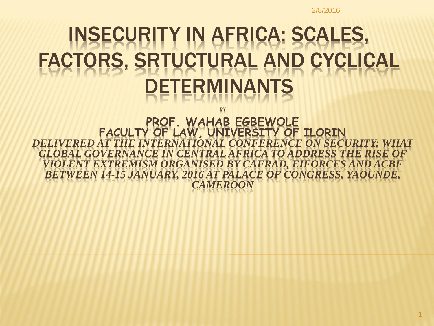#### INSECURITY IN AFRICA: SCALES, FACTORS, SRTUCTURAL AND CYCLICAL DETERMINANTS

*BY* 

**PROF. WAHAB EGBEWOLE FACULTY OF LAW, UNIVERSITY OF ILORIN** *DELIVERED AT THE INTERNATIONAL CONFERENCE ON SECURITY: WHAT GLOBAL GOVERNANCE IN CENTRAL AFRICA TO ADDRESS THE RISE OF VIOLENT EXTREMISM ORGANISED BY CAFRAD, EIFORCES AND ACBF BETWEEN 14-15 JANUARY, 2016 AT PALACE OF CONGRESS, YAOUNDE, CAMEROON*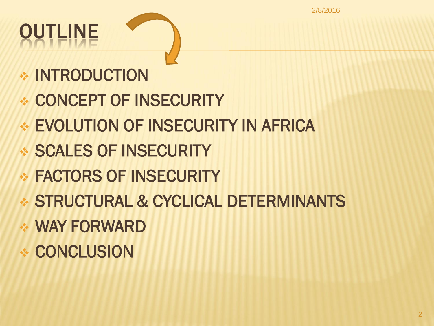2/8/2016

# OUTLINE

- **EXAMPLE INTRODUCTION**
- CONCEPT OF INSECURITY
- EVOLUTION OF INSECURITY IN AFRICA
- SCALES OF INSECURITY
- **◈ FACTORS OF INSECURITY**
- STRUCTURAL & CYCLICAL DETERMINANTS
- WAY FORWARD
- **CONCLUSION**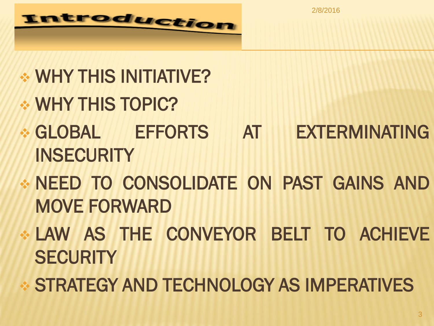2/8/2016



#### WHY THIS INITIATIVE?

- WHY THIS TOPIC?
- GLOBAL EFFORTS AT EXTERMINATING INSECURITY
- NEED TO CONSOLIDATE ON PAST GAINS AND MOVE FORWARD
- LAW AS THE CONVEYOR BELT TO ACHIEVE **SECURITY**
- STRATEGY AND TECHNOLOGY AS IMPERATIVES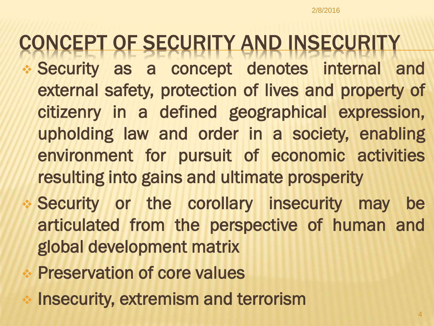#### CONCEPT OF SECURITY AND INSECURITY

- Security as a concept denotes internal and external safety, protection of lives and property of citizenry in a defined geographical expression, upholding law and order in a society, enabling environment for pursuit of economic activities resulting into gains and ultimate prosperity
- Security or the corollary insecurity may be articulated from the perspective of human and global development matrix
- Preservation of core values
- Insecurity, extremism and terrorism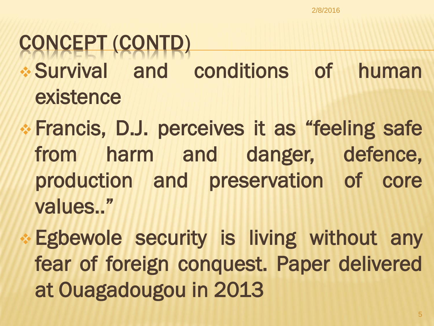#### CONCEPT (CONTD)

- Survival and conditions of human existence
- Francis, D.J. perceives it as "feeling safe from harm and danger, defence, production and preservation of core values.. "
	- Egbewole security is living without any fear of foreign conquest. Paper delivered at Ouagadougou in 2013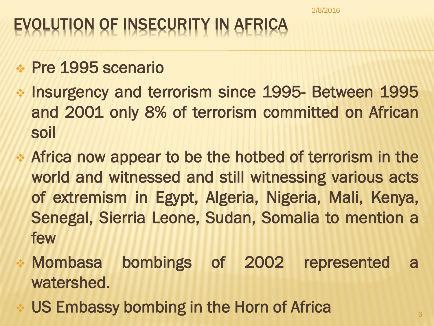#### OLUTION OF INSECURITY IN AFRICA

- Pre 1995 scenario
- Insurgency and terrorism since 1995- Between 1995 and 2001 only 8% of terrorism committed on African soil
- Africa now appear to be the hotbed of terrorism in the world and witnessed and still witnessing various acts of extremism in Egypt, Algeria, Nigeria, Mali, Kenya, Senegal, Sierria Leone, Sudan, Somalia to mention a few
- Mombasa bombings of 2002 represented a watershed.
- US Embassy bombing in the Horn of Africa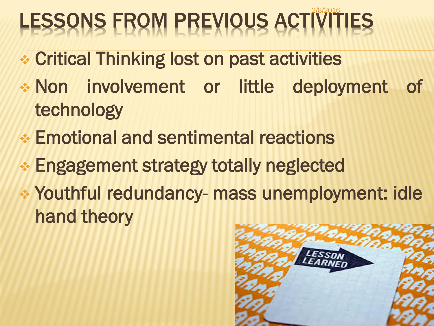# LESSONS FROM PREVIOUS ACTIVITIES

- Critical Thinking lost on past activities
- Non involvement or little deployment of technology
- Emotional and sentimental reactions
- Engagement strategy totally neglected
- Youthful redundancy- mass unemployment: idle hand theory

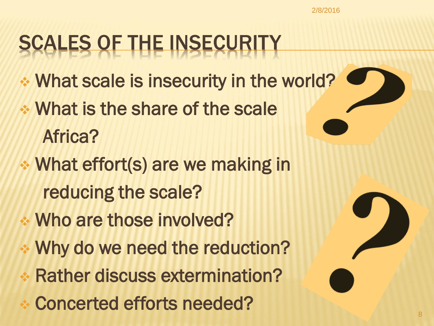## SCALES OF THE INSECURITY

- What scale is insecurity in the world?
- What is the share of the scale Africa?
- What effort(s) are we making in reducing the scale?
- Who are those involved?
- Why do we need the reduction?
- Rather discuss extermination?
- Concerted efforts needed?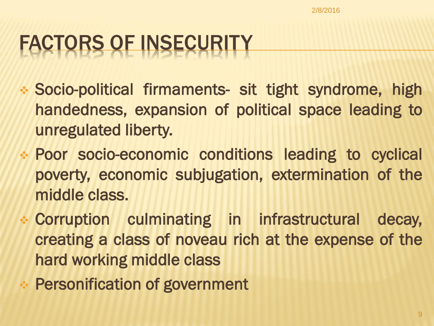## FACTORS OF INSECURITY

- Socio-political firmaments- sit tight syndrome, high handedness, expansion of political space leading to unregulated liberty.
- Poor socio-economic conditions leading to cyclical poverty, economic subjugation, extermination of the middle class.
- Corruption culminating in infrastructural decay, creating a class of noveau rich at the expense of the hard working middle class
- Personification of government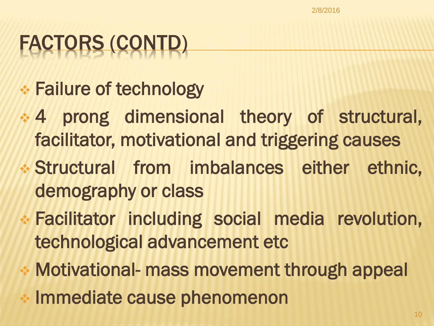# FACTORS (CONTD)

- Failure of technology
- 4 prong dimensional theory of structural, facilitator, motivational and triggering causes
- Structural from imbalances either ethnic, demography or class
- Facilitator including social media revolution, technological advancement etc
- Motivational- mass movement through appeal
- Immediate cause phenomenon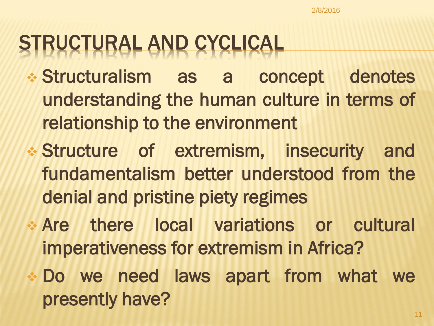#### STRUCTURAL AND CYCLICAL

- Structuralism as a concept denotes understanding the human culture in terms of relationship to the environment
- Structure of extremism, insecurity and fundamentalism better understood from the denial and pristine piety regimes
- Are there local variations or cultural imperativeness for extremism in Africa?
- Do we need laws apart from what we presently have?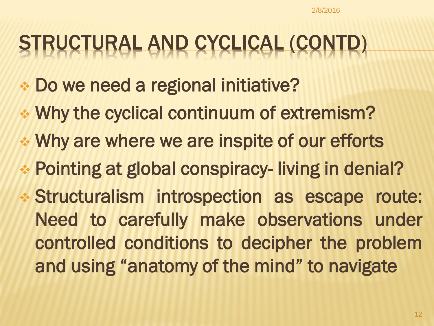#### STRUCTURAL AND CYCLICAL (CONTD)

- Do we need a regional initiative?
- Why the cyclical continuum of extremism?
- Why are where we are inspite of our efforts
- Pointing at global conspiracy- living in denial?
- Structuralism introspection as escape route: Need to carefully make observations under controlled conditions to decipher the problem and using "anatomy of the mind" to navigate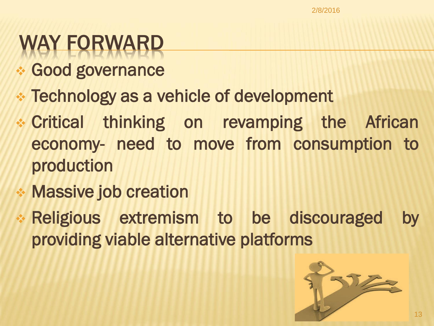## **/ FORWARD**

- **Good governance**
- Technology as a vehicle of development
- Critical thinking on revamping the African economy- need to move from consumption to production
- Massive job creation
- Religious extremism to be discouraged by providing viable alternative platforms

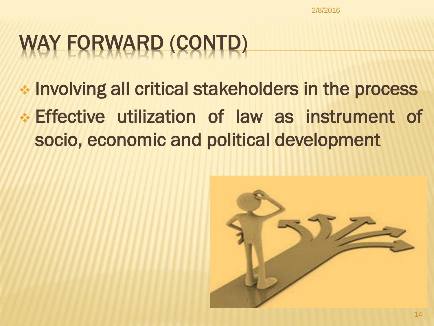# WAY FORWARD (CONTD)

- Involving all critical stakeholders in the process
- Effective utilization of law as instrument of socio, economic and political development

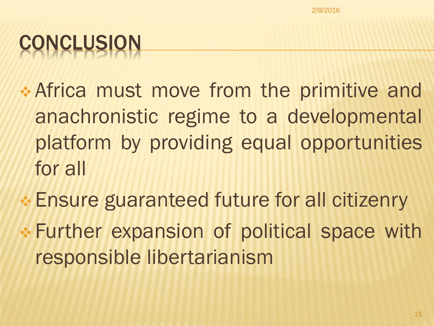# **CONCLUSION**

- Africa must move from the primitive and anachronistic regime to a developmental platform by providing equal opportunities for all
- Ensure guaranteed future for all citizenry
- Further expansion of political space with responsible libertarianism